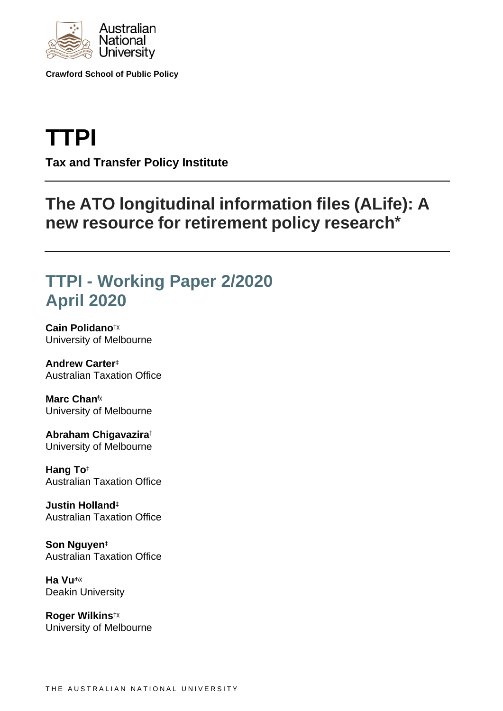

**Crawford School of Public Policy**

# **TTPI**

**Tax and Transfer Policy Institute**

## **The ATO longitudinal information files (ALife): A new resource for retirement policy research\***

## **TTPI - Working Paper 2/2020 April 2020**

**Cain Polidano**†ꭓ University of Melbourne

**Andrew Carter**‡ Australian Taxation Office

**Marc Chan**<sup>fx</sup> University of Melbourne

**Abraham Chigavazira**† University of Melbourne

**Hang To**‡ Australian Taxation Office

**Justin Holland**‡ Australian Taxation Office

**Son Nguyen**‡ Australian Taxation Office

**Ha Vu**<sup> $\wedge$ x</sup> Deakin University

**Roger Wilkins** †ꭓ University of Melbourne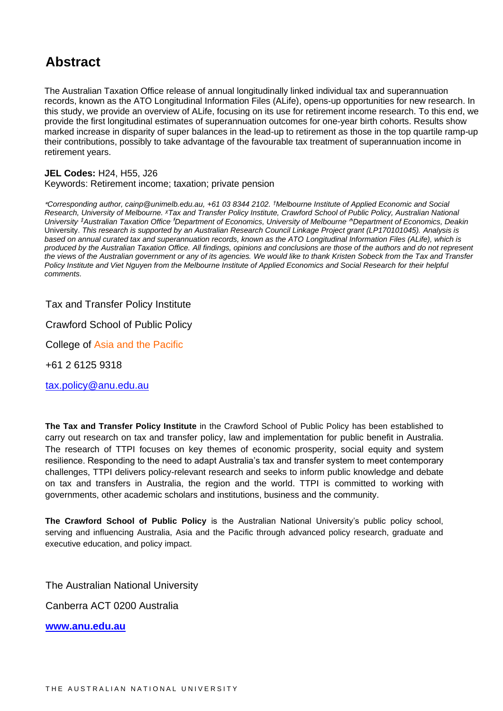## **Abstract**

The Australian Taxation Office release of annual longitudinally linked individual tax and superannuation records, known as the ATO Longitudinal Information Files (ALife), opens-up opportunities for new research. In this study, we provide an overview of ALife, focusing on its use for retirement income research. To this end, we provide the first longitudinal estimates of superannuation outcomes for one-year birth cohorts. Results show marked increase in disparity of super balances in the lead-up to retirement as those in the top quartile ramp-up their contributions, possibly to take advantage of the favourable tax treatment of superannuation income in retirement years.

#### **JEL Codes:** H24, H55, J26

Keywords: Retirement income; taxation; private pension

\**Corresponding author, cainp@unimelb.edu.au, +61 03 8344 2102. †Melbourne Institute of Applied Economic and Social Research, University of Melbourne. <sup>ꭓ</sup>Tax and Transfer Policy Institute, Crawford School of Public Policy, Australian National University. ‡Australian Taxation Office. ꞙDepartment of Economics, University of Melbourne. ₼Department of Economics, Deakin* University. *This research is supported by an Australian Research Council Linkage Project grant (LP170101045). Analysis is based on annual curated tax and superannuation records, known as the ATO Longitudinal Information Files (ALife), which is produced by the Australian Taxation Office. All findings, opinions and conclusions are those of the authors and do not represent the views of the Australian government or any of its agencies. We would like to thank Kristen Sobeck from the Tax and Transfer Policy Institute and Viet Nguyen from the Melbourne Institute of Applied Economics and Social Research for their helpful comments.*

#### Tax and Transfer Policy Institute

Crawford School of Public Policy

College of Asia and the Pacific

+61 2 6125 9318

[tax.policy@anu.edu.au](mailto:tax.policy@anu.edu.au)

**The Tax and Transfer Policy Institute** in the Crawford School of Public Policy has been established to carry out research on tax and transfer policy, law and implementation for public benefit in Australia. The research of TTPI focuses on key themes of economic prosperity, social equity and system resilience. Responding to the need to adapt Australia's tax and transfer system to meet contemporary challenges, TTPI delivers policy-relevant research and seeks to inform public knowledge and debate on tax and transfers in Australia, the region and the world. TTPI is committed to working with governments, other academic scholars and institutions, business and the community.

**The Crawford School of Public Policy** is the Australian National University's public policy school, serving and influencing Australia, Asia and the Pacific through advanced policy research, graduate and executive education, and policy impact.

The Australian National University

Canberra ACT 0200 Australia

**[www.anu.edu.au](http://www.anu.edu.au/)**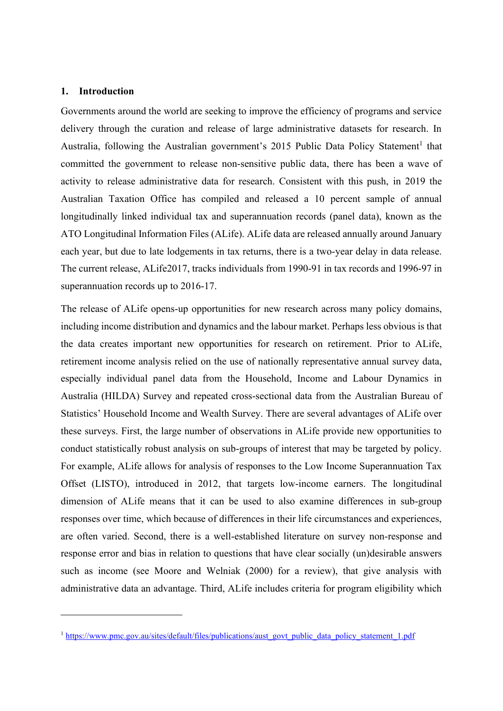#### **1. Introduction**

Governments around the world are seeking to improve the efficiency of programs and service delivery through the curation and release of large administrative datasets for research. In Australia, following the Australian government's 2015 Public Data Policy Statement<sup>1</sup> that committed the government to release non-sensitive public data, there has been a wave of activity to release administrative data for research. Consistent with this push, in 2019 the Australian Taxation Office has compiled and released a 10 percent sample of annual longitudinally linked individual tax and superannuation records (panel data), known as the ATO Longitudinal Information Files (ALife). ALife data are released annually around January each year, but due to late lodgements in tax returns, there is a two-year delay in data release. The current release, ALife2017, tracks individuals from 1990-91 in tax records and 1996-97 in superannuation records up to 2016-17.

The release of ALife opens-up opportunities for new research across many policy domains, including income distribution and dynamics and the labour market. Perhaps less obvious is that the data creates important new opportunities for research on retirement. Prior to ALife, retirement income analysis relied on the use of nationally representative annual survey data, especially individual panel data from the Household, Income and Labour Dynamics in Australia (HILDA) Survey and repeated cross-sectional data from the Australian Bureau of Statistics' Household Income and Wealth Survey. There are several advantages of ALife over these surveys. First, the large number of observations in ALife provide new opportunities to conduct statistically robust analysis on sub-groups of interest that may be targeted by policy. For example, ALife allows for analysis of responses to the Low Income Superannuation Tax Offset (LISTO), introduced in 2012, that targets low-income earners. The longitudinal dimension of ALife means that it can be used to also examine differences in sub-group responses over time, which because of differences in their life circumstances and experiences, are often varied. Second, there is a well-established literature on survey non-response and response error and bias in relation to questions that have clear socially (un)desirable answers such as income (see Moore and Welniak (2000) for a review), that give analysis with administrative data an advantage. Third, ALife includes criteria for program eligibility which

<sup>&</sup>lt;sup>1</sup> [https://www.pmc.gov.au/sites/default/files/publications/aust\\_govt\\_public\\_data\\_policy\\_statement\\_1.pdf](https://www.pmc.gov.au/sites/default/files/publications/aust_govt_public_data_policy_statement_1.pdf)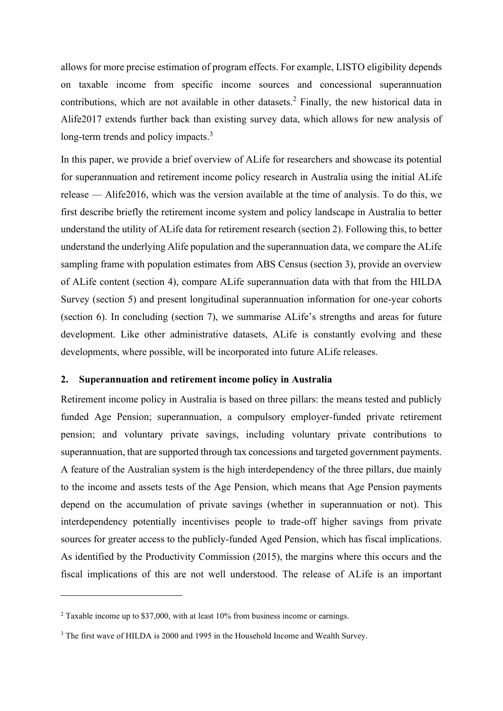allows for more precise estimation of program effects. For example, LISTO eligibility depends on taxable income from specific income sources and concessional superannuation contributions, which are not available in other datasets.<sup>2</sup> Finally, the new historical data in Alife2017 extends further back than existing survey data, which allows for new analysis of long-term trends and policy impacts.<sup>3</sup>

In this paper, we provide a brief overview of ALife for researchers and showcase its potential for superannuation and retirement income policy research in Australia using the initial ALife release — Alife2016, which was the version available at the time of analysis. To do this, we first describe briefly the retirement income system and policy landscape in Australia to better understand the utility of ALife data for retirement research (section 2). Following this, to better understand the underlying Alife population and the superannuation data, we compare the ALife sampling frame with population estimates from ABS Census (section 3), provide an overview of ALife content (section 4), compare ALife superannuation data with that from the HILDA Survey (section 5) and present longitudinal superannuation information for one-year cohorts (section 6). In concluding (section 7), we summarise ALife's strengths and areas for future development. Like other administrative datasets, ALife is constantly evolving and these developments, where possible, will be incorporated into future ALife releases.

#### **2. Superannuation and retirement income policy in Australia**

Retirement income policy in Australia is based on three pillars: the means tested and publicly funded Age Pension; superannuation, a compulsory employer-funded private retirement pension; and voluntary private savings, including voluntary private contributions to superannuation, that are supported through tax concessions and targeted government payments. A feature of the Australian system is the high interdependency of the three pillars, due mainly to the income and assets tests of the Age Pension, which means that Age Pension payments depend on the accumulation of private savings (whether in superannuation or not). This interdependency potentially incentivises people to trade-off higher savings from private sources for greater access to the publicly-funded Aged Pension, which has fiscal implications. As identified by the Productivity Commission (2015), the margins where this occurs and the fiscal implications of this are not well understood. The release of ALife is an important

<sup>&</sup>lt;sup>2</sup> Taxable income up to \$37,000, with at least 10% from business income or earnings.

<sup>&</sup>lt;sup>3</sup> The first wave of HILDA is 2000 and 1995 in the Household Income and Wealth Survey.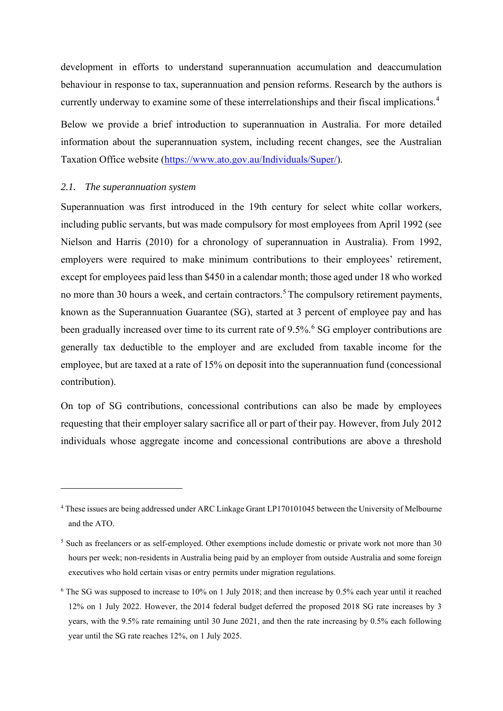development in efforts to understand superannuation accumulation and deaccumulation behaviour in response to tax, superannuation and pension reforms. Research by the authors is currently underway to examine some of these interrelationships and their fiscal implications.<sup>4</sup>

Below we provide a brief introduction to superannuation in Australia. For more detailed information about the superannuation system, including recent changes, see the Australian Taxation Office website [\(https://www.ato.gov.au/Individuals/Super/\)](https://www.ato.gov.au/Individuals/Super/).

#### *2.1. The superannuation system*

Superannuation was first introduced in the 19th century for select white collar workers, including public servants, but was made compulsory for most employees from April 1992 (see Nielson and Harris (2010) for a chronology of superannuation in Australia). From 1992, employers were required to make minimum contributions to their employees' retirement, except for employees paid less than \$450 in a calendar month; those aged under 18 who worked no more than 30 hours a week, and certain contractors.<sup>5</sup> The compulsory retirement payments, known as the Superannuation Guarantee (SG), started at 3 percent of employee pay and has been gradually increased over time to its current rate of 9.5%.<sup>6</sup> SG employer contributions are generally tax deductible to the employer and are excluded from taxable income for the employee, but are taxed at a rate of 15% on deposit into the superannuation fund (concessional contribution).

On top of SG contributions, concessional contributions can also be made by employees requesting that their employer salary sacrifice all or part of their pay. However, from July 2012 individuals whose aggregate income and concessional contributions are above a threshold

<sup>4</sup> These issues are being addressed under ARC Linkage Grant LP170101045 between the University of Melbourne and the ATO.

<sup>&</sup>lt;sup>5</sup> Such as freelancers or as self-employed. Other exemptions include domestic or private work not more than 30 hours per week; non-residents in Australia being paid by an employer from outside Australia and some foreign executives who hold certain visas or entry permits under migration regulations.

<sup>6</sup> The SG was supposed to increase to 10% on 1 July 2018; and then increase by 0.5% each year until it reached 12% on 1 July 2022. However, the [2014 federal budget](https://en.wikipedia.org/wiki/2014_Australian_federal_budget) deferred the proposed 2018 SG rate increases by 3 years, with the 9.5% rate remaining until 30 June 2021, and then the rate increasing by 0.5% each following year until the SG rate reaches 12%, on 1 July 2025.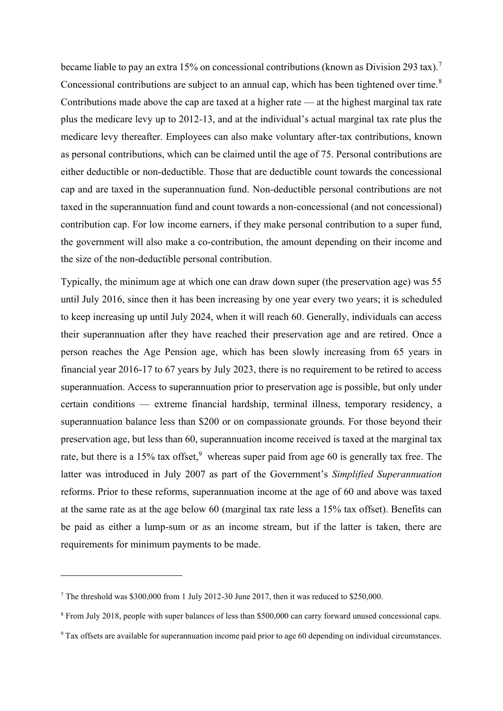became liable to pay an extra 15% on concessional contributions (known as Division 293 tax).<sup>7</sup> Concessional contributions are subject to an annual cap, which has been tightened over time.<sup>8</sup> Contributions made above the cap are taxed at a higher rate — at the highest marginal tax rate plus the medicare levy up to 2012-13, and at the individual's actual marginal tax rate plus the medicare levy thereafter. Employees can also make voluntary after-tax contributions, known as personal contributions, which can be claimed until the age of 75. Personal contributions are either deductible or non-deductible. Those that are deductible count towards the concessional cap and are taxed in the superannuation fund. Non-deductible personal contributions are not taxed in the superannuation fund and count towards a non-concessional (and not concessional) contribution cap. For low income earners, if they make personal contribution to a super fund, the government will also make a co-contribution, the amount depending on their income and the size of the non-deductible personal contribution.

Typically, the minimum age at which one can draw down super (the preservation age) was 55 until July 2016, since then it has been increasing by one year every two years; it is scheduled to keep increasing up until July 2024, when it will reach 60. Generally, individuals can access their superannuation after they have reached their preservation age and are retired. Once a person reaches the Age Pension age, which has been slowly increasing from 65 years in financial year 2016-17 to 67 years by July 2023, there is no requirement to be retired to access superannuation. Access to superannuation prior to preservation age is possible, but only under certain conditions — extreme financial hardship, terminal illness, temporary residency, a superannuation balance less than \$200 or on compassionate grounds. For those beyond their preservation age, but less than 60, superannuation income received is taxed at the marginal tax rate, but there is a 15% tax offset,<sup>9</sup> whereas super paid from age 60 is generally tax free. The latter was introduced in July 2007 as part of the Government's *Simplified Superannuation* reforms. Prior to these reforms, superannuation income at the age of 60 and above was taxed at the same rate as at the age below 60 (marginal tax rate less a 15% tax offset). Benefits can be paid as either a lump-sum or as an income stream, but if the latter is taken, there are requirements for minimum payments to be made.

<sup>7</sup> The threshold was \$300,000 from 1 July 2012-30 June 2017, then it was reduced to \$250,000.

<sup>8</sup> From July 2018, people with super balances of less than \$500,000 can carry forward unused concessional caps.

<sup>&</sup>lt;sup>9</sup> Tax offsets are available for superannuation income paid prior to age 60 depending on individual circumstances.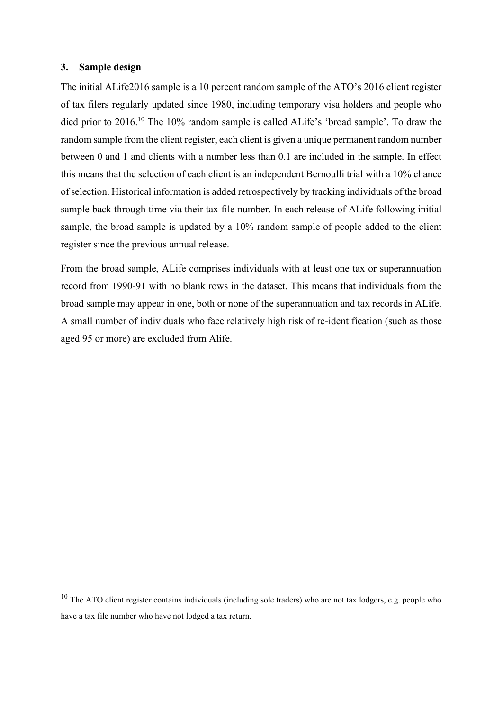#### **3. Sample design**

The initial ALife2016 sample is a 10 percent random sample of the ATO's 2016 client register of tax filers regularly updated since 1980, including temporary visa holders and people who died prior to 2016.<sup>10</sup> The 10% random sample is called ALife's 'broad sample'. To draw the random sample from the client register, each client is given a unique permanent random number between 0 and 1 and clients with a number less than 0.1 are included in the sample. In effect this means that the selection of each client is an independent Bernoulli trial with a 10% chance of selection. Historical information is added retrospectively by tracking individuals of the broad sample back through time via their tax file number. In each release of ALife following initial sample, the broad sample is updated by a 10% random sample of people added to the client register since the previous annual release.

From the broad sample, ALife comprises individuals with at least one tax or superannuation record from 1990-91 with no blank rows in the dataset. This means that individuals from the broad sample may appear in one, both or none of the superannuation and tax records in ALife. A small number of individuals who face relatively high risk of re-identification (such as those aged 95 or more) are excluded from Alife.

 $10$  The ATO client register contains individuals (including sole traders) who are not tax lodgers, e.g. people who have a tax file number who have not lodged a tax return.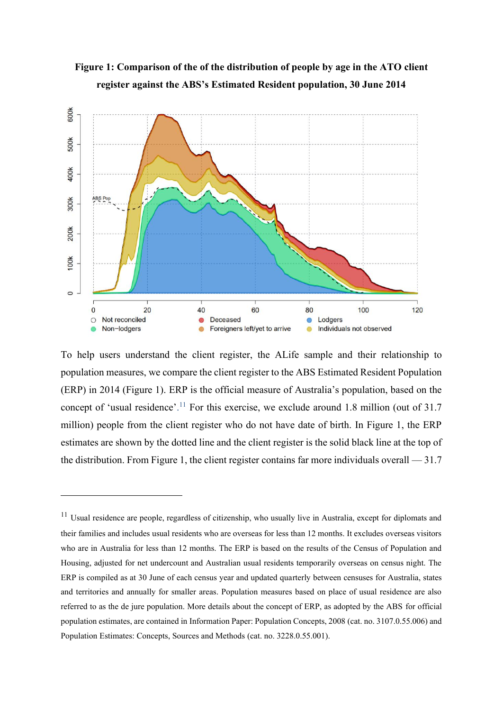



To help users understand the client register, the ALife sample and their relationship to population measures, we compare the client register to the ABS Estimated Resident Population (ERP) in 2014 (Figure 1). ERP is the official measure of Australia's population, based on the concept of 'usual residence'. <sup>11</sup> For this exercise, we exclude around 1.8 million (out of 31.7 million) people from the client register who do not have date of birth. In Figure 1, the ERP estimates are shown by the dotted line and the client register is the solid black line at the top of the distribution. From Figure 1, the client register contains far more individuals overall — 31.7

 $11$  Usual residence are people, regardless of citizenship, who usually live in Australia, except for diplomats and their families and includes usual residents who are overseas for less than 12 months. It excludes overseas visitors who are in Australia for less than 12 months. The ERP is based on the results of the Census of Population and Housing, adjusted for net undercount and Australian usual residents temporarily overseas on census night. The ERP is compiled as at 30 June of each census year and updated quarterly between censuses for Australia, states and territories and annually for smaller areas. Population measures based on place of usual residence are also referred to as the de jure population. More details about the concept of ERP, as adopted by the ABS for official population estimates, are contained in [Information Paper: Population Concepts, 2008](https://protect-au.mimecast.com/s/O1MhCMwvygsq0xrK2twhOlv?domain=abs.gov.au) (cat. no. 3107.0.55.006) and [Population Estimates: Concepts, Sources and Methods](https://protect-au.mimecast.com/s/piyVCNLwzjF0rVWKZs4M8BV?domain=abs.gov.au) (cat. no. 3228.0.55.001).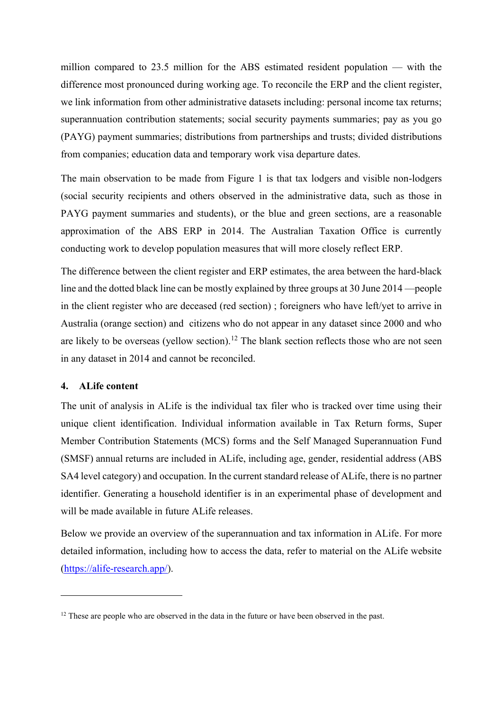million compared to 23.5 million for the ABS estimated resident population — with the difference most pronounced during working age. To reconcile the ERP and the client register, we link information from other administrative datasets including: personal income tax returns; superannuation contribution statements; social security payments summaries; pay as you go (PAYG) payment summaries; distributions from partnerships and trusts; divided distributions from companies; education data and temporary work visa departure dates.

The main observation to be made from Figure 1 is that tax lodgers and visible non-lodgers (social security recipients and others observed in the administrative data, such as those in PAYG payment summaries and students), or the blue and green sections, are a reasonable approximation of the ABS ERP in 2014. The Australian Taxation Office is currently conducting work to develop population measures that will more closely reflect ERP.

The difference between the client register and ERP estimates, the area between the hard-black line and the dotted black line can be mostly explained by three groups at 30 June 2014 —people in the client register who are deceased (red section) ; foreigners who have left/yet to arrive in Australia (orange section) and citizens who do not appear in any dataset since 2000 and who are likely to be overseas (yellow section).<sup>12</sup> The blank section reflects those who are not seen in any dataset in 2014 and cannot be reconciled.

#### **4. ALife content**

The unit of analysis in ALife is the individual tax filer who is tracked over time using their unique client identification. Individual information available in Tax Return forms, Super Member Contribution Statements (MCS) forms and the Self Managed Superannuation Fund (SMSF) annual returns are included in ALife, including age, gender, residential address (ABS SA4 level category) and occupation. In the current standard release of ALife, there is no partner identifier. Generating a household identifier is in an experimental phase of development and will be made available in future ALife releases.

Below we provide an overview of the superannuation and tax information in ALife. For more detailed information, including how to access the data, refer to material on the ALife website [\(https://alife-research.app/\)](https://alife-research.app/).

<sup>&</sup>lt;sup>12</sup> These are people who are observed in the data in the future or have been observed in the past.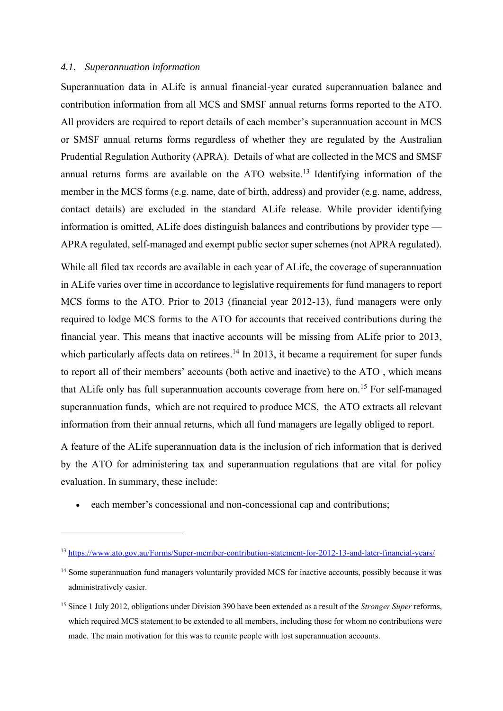#### *4.1. Superannuation information*

Superannuation data in ALife is annual financial-year curated superannuation balance and contribution information from all MCS and SMSF annual returns forms reported to the ATO. All providers are required to report details of each member's superannuation account in MCS or SMSF annual returns forms regardless of whether they are regulated by the Australian Prudential Regulation Authority (APRA). Details of what are collected in the MCS and SMSF annual returns forms are available on the ATO website.<sup>13</sup> Identifying information of the member in the MCS forms (e.g. name, date of birth, address) and provider (e.g. name, address, contact details) are excluded in the standard ALife release. While provider identifying information is omitted, ALife does distinguish balances and contributions by provider type — APRA regulated, self-managed and exempt public sector super schemes (not APRA regulated).

While all filed tax records are available in each year of ALife, the coverage of superannuation in ALife varies over time in accordance to legislative requirements for fund managers to report MCS forms to the ATO. Prior to 2013 (financial year 2012-13), fund managers were only required to lodge MCS forms to the ATO for accounts that received contributions during the financial year. This means that inactive accounts will be missing from ALife prior to 2013, which particularly affects data on retirees.<sup>14</sup> In 2013, it became a requirement for super funds to report all of their members' accounts (both active and inactive) to the ATO , which means that ALife only has full superannuation accounts coverage from here on.<sup>15</sup> For self-managed superannuation funds, which are not required to produce MCS, the ATO extracts all relevant information from their annual returns, which all fund managers are legally obliged to report.

A feature of the ALife superannuation data is the inclusion of rich information that is derived by the ATO for administering tax and superannuation regulations that are vital for policy evaluation. In summary, these include:

• each member's concessional and non-concessional cap and contributions;

<sup>13</sup> <https://www.ato.gov.au/Forms/Super-member-contribution-statement-for-2012-13-and-later-financial-years/>

<sup>&</sup>lt;sup>14</sup> Some superannuation fund managers voluntarily provided MCS for inactive accounts, possibly because it was administratively easier.

<sup>15</sup> Since 1 July 2012, obligations under Division 390 have been extended as a result of the *Stronger Super* reforms, which required MCS statement to be extended to all members, including those for whom no contributions were made. The main motivation for this was to reunite people with lost superannuation accounts.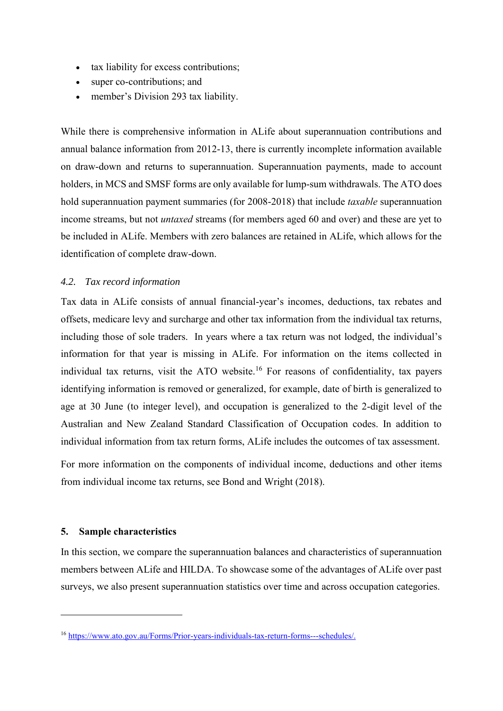- tax liability for excess contributions;
- super co-contributions; and
- member's Division 293 tax liability.

While there is comprehensive information in ALife about superannuation contributions and annual balance information from 2012-13, there is currently incomplete information available on draw-down and returns to superannuation. Superannuation payments, made to account holders, in MCS and SMSF forms are only available for lump-sum withdrawals. The ATO does hold superannuation payment summaries (for 2008-2018) that include *taxable* superannuation income streams, but not *untaxed* streams (for members aged 60 and over) and these are yet to be included in ALife. Members with zero balances are retained in ALife, which allows for the identification of complete draw-down.

#### *4.2. Tax record information*

Tax data in ALife consists of annual financial-year's incomes, deductions, tax rebates and offsets, medicare levy and surcharge and other tax information from the individual tax returns, including those of sole traders. In years where a tax return was not lodged, the individual's information for that year is missing in ALife. For information on the items collected in individual tax returns, visit the ATO website.<sup>16</sup> For reasons of confidentiality, tax payers identifying information is removed or generalized, for example, date of birth is generalized to age at 30 June (to integer level), and occupation is generalized to the 2-digit level of the Australian and New Zealand Standard Classification of Occupation codes. In addition to individual information from tax return forms, ALife includes the outcomes of tax assessment.

For more information on the components of individual income, deductions and other items from individual income tax returns, see Bond and Wright (2018).

#### **5. Sample characteristics**

In this section, we compare the superannuation balances and characteristics of superannuation members between ALife and HILDA. To showcase some of the advantages of ALife over past surveys, we also present superannuation statistics over time and across occupation categories.

<sup>16</sup> [https://www.ato.gov.au/Forms/Prior-years-individuals-tax-return-forms---schedules/.](https://www.ato.gov.au/Forms/Prior-years-individuals-tax-return-forms---schedules/)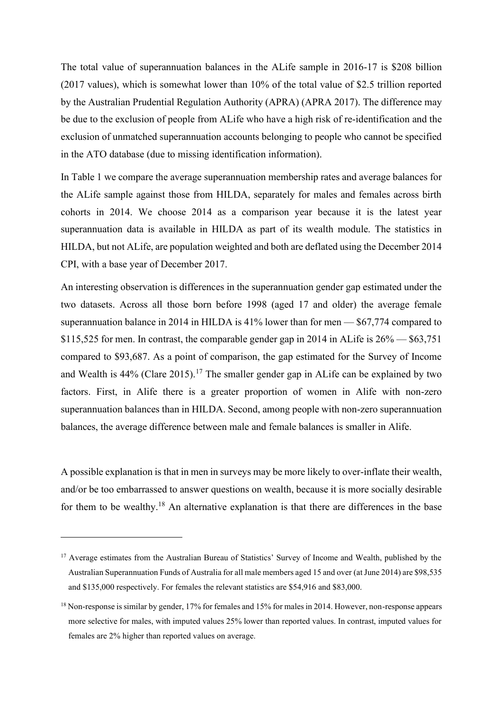The total value of superannuation balances in the ALife sample in 2016-17 is \$208 billion (2017 values), which is somewhat lower than 10% of the total value of \$2.5 trillion reported by the Australian Prudential Regulation Authority (APRA) (APRA 2017). The difference may be due to the exclusion of people from ALife who have a high risk of re-identification and the exclusion of unmatched superannuation accounts belonging to people who cannot be specified in the ATO database (due to missing identification information).

In Table 1 we compare the average superannuation membership rates and average balances for the ALife sample against those from HILDA, separately for males and females across birth cohorts in 2014. We choose 2014 as a comparison year because it is the latest year superannuation data is available in HILDA as part of its wealth module. The statistics in HILDA, but not ALife, are population weighted and both are deflated using the December 2014 CPI, with a base year of December 2017.

An interesting observation is differences in the superannuation gender gap estimated under the two datasets. Across all those born before 1998 (aged 17 and older) the average female superannuation balance in 2014 in HILDA is 41% lower than for men — \$67,774 compared to \$115,525 for men. In contrast, the comparable gender gap in 2014 in ALife is 26% — \$63,751 compared to \$93,687. As a point of comparison, the gap estimated for the Survey of Income and Wealth is  $44\%$  (Clare 2015).<sup>17</sup> The smaller gender gap in ALife can be explained by two factors. First, in Alife there is a greater proportion of women in Alife with non-zero superannuation balances than in HILDA. Second, among people with non-zero superannuation balances, the average difference between male and female balances is smaller in Alife.

A possible explanation is that in men in surveys may be more likely to over-inflate their wealth, and/or be too embarrassed to answer questions on wealth, because it is more socially desirable for them to be wealthy.<sup>18</sup> An alternative explanation is that there are differences in the base

<sup>&</sup>lt;sup>17</sup> Average estimates from the Australian Bureau of Statistics' Survey of Income and Wealth, published by the Australian Superannuation Funds of Australia for all male members aged 15 and over (at June 2014) are \$98,535 and \$135,000 respectively. For females the relevant statistics are \$54,916 and \$83,000.

<sup>18</sup> Non-response is similar by gender, 17% for females and 15% for males in 2014. However, non-response appears more selective for males, with imputed values 25% lower than reported values. In contrast, imputed values for females are 2% higher than reported values on average.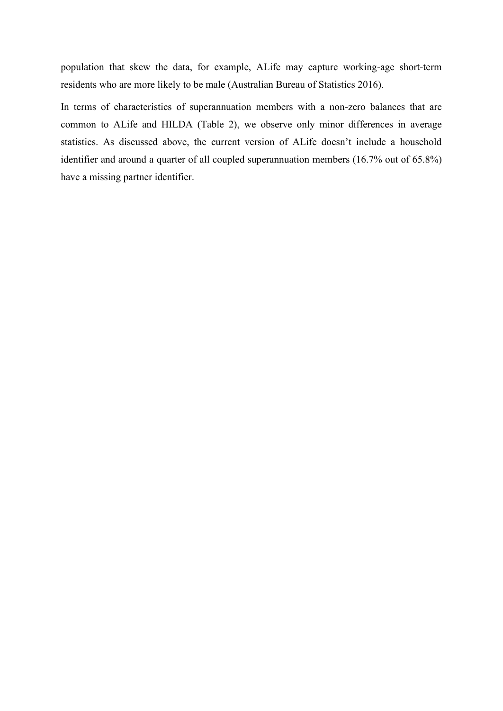population that skew the data, for example, ALife may capture working-age short-term residents who are more likely to be male (Australian Bureau of Statistics 2016).

In terms of characteristics of superannuation members with a non-zero balances that are common to ALife and HILDA (Table 2), we observe only minor differences in average statistics. As discussed above, the current version of ALife doesn't include a household identifier and around a quarter of all coupled superannuation members (16.7% out of 65.8%) have a missing partner identifier.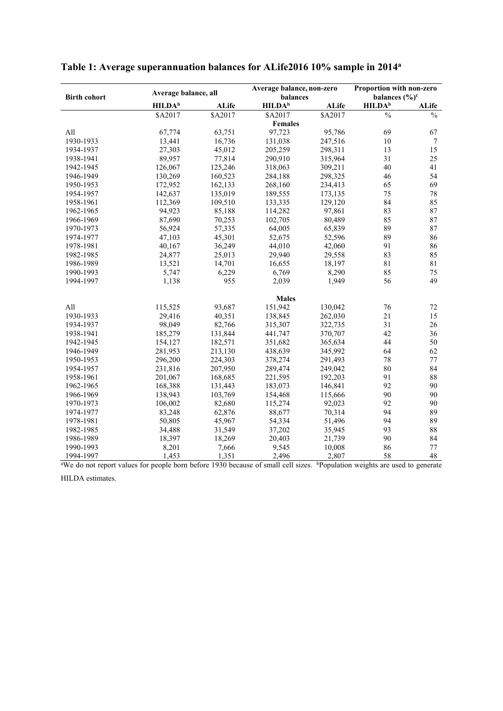|                     | Average balance, all |              | Average balance, non-zero |              | Proportion with non-zero   |               |  |  |
|---------------------|----------------------|--------------|---------------------------|--------------|----------------------------|---------------|--|--|
| <b>Birth cohort</b> |                      |              | balances                  |              | balances $(\frac{6}{6})^c$ |               |  |  |
|                     | <b>HILDAb</b>        | <b>ALife</b> | <b>HILDAb</b>             | <b>ALife</b> | <b>HILDAb</b>              | <b>ALife</b>  |  |  |
|                     | \$A2017              | \$A2017      | \$A2017                   | \$A2017      | $\frac{0}{0}$              | $\frac{0}{0}$ |  |  |
|                     |                      |              | <b>Females</b>            |              |                            |               |  |  |
| All                 | 67,774               | 63,751       | 97,723                    | 95,786       | 69                         | 67            |  |  |
| 1930-1933           | 13,441               | 16,736       | 131,038                   | 247,516      | 10                         | $\tau$        |  |  |
| 1934-1937           | 27,303               | 45,012       | 205,259                   | 298,311      | 13                         | 15            |  |  |
| 1938-1941           | 89,957               | 77,814       | 290,910                   | 315,964      | 31                         | 25            |  |  |
| 1942-1945           | 126,067              | 125,246      | 318,063                   | 309,211      | 40                         | 41            |  |  |
| 1946-1949           | 130,269              | 160,523      | 284,188                   | 298,325      | 46                         | 54            |  |  |
| 1950-1953           | 172,952              | 162,133      | 268,160                   | 234,413      | 65                         | 69            |  |  |
| 1954-1957           | 142,637              | 135,019      | 189,555                   | 173,135      | 75                         | 78            |  |  |
| 1958-1961           | 112,369              | 109,510      | 133,335                   | 129,120      | 84                         | 85            |  |  |
| 1962-1965           | 94,923               | 85,188       | 114,282                   | 97,861       | 83                         | 87            |  |  |
| 1966-1969           | 87,690               | 70,253       | 102,705                   | 80,489       | 85                         | 87            |  |  |
| 1970-1973           | 56,924               | 57,335       | 64,005                    | 65,839       | 89                         | 87            |  |  |
| 1974-1977           | 47,103               | 45,301       | 52,675                    | 52,596       | 89                         | 86            |  |  |
| 1978-1981           | 40,167               | 36,249       | 44,010                    | 42,060       | 91                         | 86            |  |  |
| 1982-1985           | 24,877               | 25,013       | 29,940                    | 29,558       | 83                         | 85            |  |  |
| 1986-1989           | 13,521               | 14,701       | 16,655                    | 18,197       | 81                         | 81            |  |  |
| 1990-1993           | 5,747                | 6,229        | 6,769                     | 8,290        | 85                         | 75            |  |  |
| 1994-1997           | 1,138                | 955          | 2,039                     | 1,949        | 56                         | 49            |  |  |
|                     |                      |              | <b>Males</b>              |              |                            |               |  |  |
| All                 | 115,525              | 93,687       | 151,942                   | 130,042      | 76                         | 72            |  |  |
| 1930-1933           | 29,416               | 40,351       | 138,845                   | 262,030      | 21                         | 15            |  |  |
| 1934-1937           | 98,049               | 82,766       | 315,307                   | 322,735      | 31                         | 26            |  |  |
| 1938-1941           | 185,279              | 131,844      | 441,747                   | 370,707      | 42                         | 36            |  |  |
| 1942-1945           | 154,127              | 182,571      | 351,682                   | 365,634      | 44                         | 50            |  |  |
| 1946-1949           | 281,953              | 213,130      | 438,639                   | 345,992      | 64                         | 62            |  |  |
| 1950-1953           | 296,200              | 224,303      | 378,274                   | 291,493      | 78                         | 77            |  |  |
| 1954-1957           | 231,816              | 207,950      | 289,474                   | 249,042      | 80                         | 84            |  |  |
| 1958-1961           | 201,067              | 168,685      | 221,595                   | 192,203      | 91                         | 88            |  |  |
| 1962-1965           | 168,388              | 131,443      | 183,073                   | 146,841      | 92                         | 90            |  |  |
| 1966-1969           | 138,943              | 103,769      | 154,468                   | 115,666      | 90                         | 90            |  |  |
| 1970-1973           | 106,002              | 82,680       | 115,274                   | 92,023       | 92                         | 90            |  |  |
| 1974-1977           | 83,248               | 62,876       | 88,677                    | 70,314       | 94                         | 89            |  |  |
| 1978-1981           | 50,805               | 45,967       | 54,334                    | 51,496       | 94                         | 89            |  |  |
| 1982-1985           | 34,488               | 31,549       | 37,202                    | 35,945       | 93                         | 88            |  |  |
| 1986-1989           | 18,397               | 18,269       | 20,403                    | 21,739       | 90                         | 84            |  |  |
| 1990-1993           | 8,201                | 7,666        | 9,545                     | 10,008       | 86                         | 77            |  |  |
| 1994-1997           | 1,453                | 1,351        | 2,496                     | 2,807        | 58                         | 48            |  |  |

**Table 1: Average superannuation balances for ALife2016 10% sample in 2014<sup>a</sup>**

<sup>a</sup>We do not report values for people born before 1930 because of small cell sizes. <sup>b</sup>Population weights are used to generate

HILDA estimates.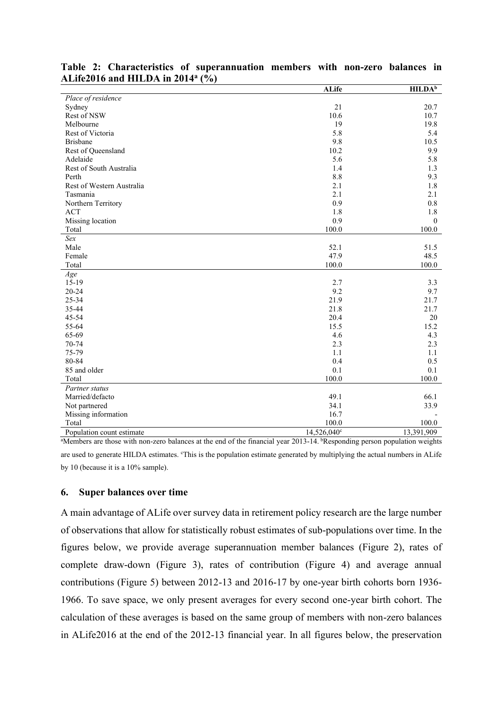|                           | <b>ALife</b>              | HILDA <sup>b</sup> |
|---------------------------|---------------------------|--------------------|
| Place of residence        |                           |                    |
| Sydney                    | 21                        | 20.7               |
| Rest of NSW               | 10.6                      | 10.7               |
| Melbourne                 | 19                        | 19.8               |
| Rest of Victoria          | 5.8                       | 5.4                |
| <b>Brisbane</b>           | 9.8                       | 10.5               |
| Rest of Queensland        | 10.2                      | 9.9                |
| Adelaide                  | 5.6                       | 5.8                |
| Rest of South Australia   | 1.4                       | 1.3                |
| Perth                     | 8.8                       | 9.3                |
| Rest of Western Australia | 2.1                       | 1.8                |
| Tasmania                  | 2.1                       | 2.1                |
| Northern Territory        | 0.9                       | $0.8\,$            |
| <b>ACT</b>                | 1.8                       | 1.8                |
| Missing location          | 0.9                       | $\mathbf{0}$       |
| Total                     | 100.0                     | 100.0              |
| Sex                       |                           |                    |
| Male                      | 52.1                      | 51.5               |
| Female                    | 47.9                      | 48.5               |
| Total                     | 100.0                     | 100.0              |
| Age                       |                           |                    |
| $15-19$                   | 2.7                       | 3.3                |
| $20 - 24$                 | 9.2                       | 9.7                |
| 25-34                     | 21.9                      | 21.7               |
| 35-44                     | 21.8                      | 21.7               |
| 45-54                     | 20.4                      | 20                 |
| 55-64                     | 15.5                      | 15.2               |
| 65-69                     | 4.6                       | 4.3                |
| 70-74                     | 2.3                       | 2.3                |
| 75-79                     | 1.1                       | 1.1                |
| 80-84                     | 0.4                       | 0.5                |
| 85 and older              | 0.1                       | 0.1                |
| Total                     | 100.0                     | 100.0              |
| Partner status            |                           |                    |
| Married/defacto           | 49.1                      | 66.1               |
| Not partnered             | 34.1                      | 33.9               |
| Missing information       | 16.7                      |                    |
| Total                     | 100.0                     | 100.0              |
| Population count estimate | $14,526,040$ <sup>c</sup> | 13,391,909         |

#### **Table 2: Characteristics of superannuation members with non-zero balances in ALife2016 and HILDA in 2014<sup>a</sup> (%)**

<sup>a</sup>Members are those with non-zero balances at the end of the financial year 2013-14. <sup>b</sup>Responding person population weights are used to generate HILDA estimates. This is the population estimate generated by multiplying the actual numbers in ALife by 10 (because it is a 10% sample).

#### **6. Super balances over time**

A main advantage of ALife over survey data in retirement policy research are the large number of observations that allow for statistically robust estimates of sub-populations over time. In the figures below, we provide average superannuation member balances (Figure 2), rates of complete draw-down (Figure 3), rates of contribution (Figure 4) and average annual contributions (Figure 5) between 2012-13 and 2016-17 by one-year birth cohorts born 1936- 1966. To save space, we only present averages for every second one-year birth cohort. The calculation of these averages is based on the same group of members with non-zero balances in ALife2016 at the end of the 2012-13 financial year. In all figures below, the preservation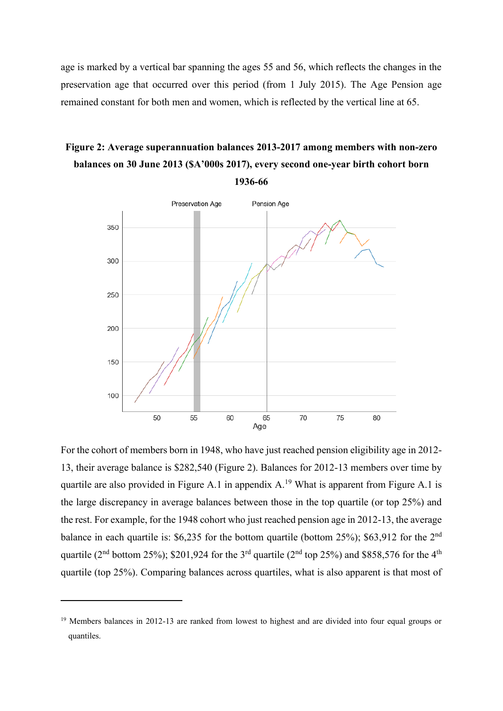age is marked by a vertical bar spanning the ages 55 and 56, which reflects the changes in the preservation age that occurred over this period (from 1 July 2015). The Age Pension age remained constant for both men and women, which is reflected by the vertical line at 65.

### **Figure 2: Average superannuation balances 2013-2017 among members with non-zero balances on 30 June 2013 (\$A'000s 2017), every second one-year birth cohort born 1936-66**



For the cohort of members born in 1948, who have just reached pension eligibility age in 2012- 13, their average balance is \$282,540 (Figure 2). Balances for 2012-13 members over time by quartile are also provided in Figure A.1 in appendix  $A<sup>19</sup>$  What is apparent from Figure A.1 is the large discrepancy in average balances between those in the top quartile (or top 25%) and the rest. For example, for the 1948 cohort who just reached pension age in 2012-13, the average balance in each quartile is: \$6,235 for the bottom quartile (bottom 25%); \$63,912 for the 2<sup>nd</sup> quartile ( $2<sup>nd</sup>$  bottom 25%); \$201,924 for the 3<sup>rd</sup> quartile ( $2<sup>nd</sup>$  top 25%) and \$858,576 for the 4<sup>th</sup> quartile (top 25%). Comparing balances across quartiles, what is also apparent is that most of

<sup>&</sup>lt;sup>19</sup> Members balances in 2012-13 are ranked from lowest to highest and are divided into four equal groups or quantiles.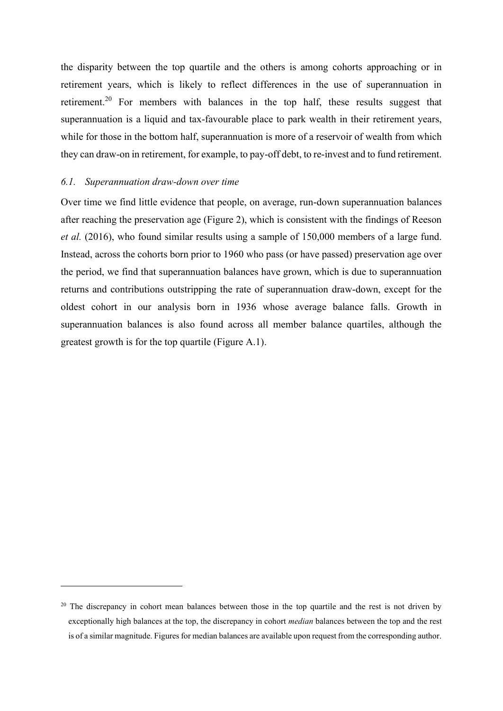the disparity between the top quartile and the others is among cohorts approaching or in retirement years, which is likely to reflect differences in the use of superannuation in retirement.<sup>20</sup> For members with balances in the top half, these results suggest that superannuation is a liquid and tax-favourable place to park wealth in their retirement years, while for those in the bottom half, superannuation is more of a reservoir of wealth from which they can draw-on in retirement, for example, to pay-off debt, to re-invest and to fund retirement.

#### *6.1. Superannuation draw-down over time*

Over time we find little evidence that people, on average, run-down superannuation balances after reaching the preservation age (Figure 2), which is consistent with the findings of Reeson *et al.* (2016), who found similar results using a sample of 150,000 members of a large fund. Instead, across the cohorts born prior to 1960 who pass (or have passed) preservation age over the period, we find that superannuation balances have grown, which is due to superannuation returns and contributions outstripping the rate of superannuation draw-down, except for the oldest cohort in our analysis born in 1936 whose average balance falls. Growth in superannuation balances is also found across all member balance quartiles, although the greatest growth is for the top quartile (Figure A.1).

<sup>&</sup>lt;sup>20</sup> The discrepancy in cohort mean balances between those in the top quartile and the rest is not driven by exceptionally high balances at the top, the discrepancy in cohort *median* balances between the top and the rest is of a similar magnitude. Figures for median balances are available upon request from the corresponding author.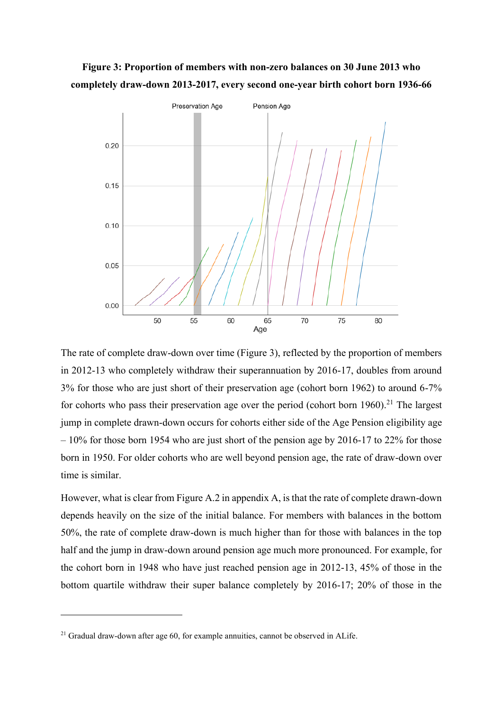



The rate of complete draw-down over time (Figure 3), reflected by the proportion of members in 2012-13 who completely withdraw their superannuation by 2016-17, doubles from around 3% for those who are just short of their preservation age (cohort born 1962) to around 6-7% for cohorts who pass their preservation age over the period (cohort born  $1960$ ).<sup>21</sup> The largest jump in complete drawn-down occurs for cohorts either side of the Age Pension eligibility age  $-10\%$  for those born 1954 who are just short of the pension age by 2016-17 to 22% for those born in 1950. For older cohorts who are well beyond pension age, the rate of draw-down over time is similar.

However, what is clear from Figure A.2 in appendix A, is that the rate of complete drawn-down depends heavily on the size of the initial balance. For members with balances in the bottom 50%, the rate of complete draw-down is much higher than for those with balances in the top half and the jump in draw-down around pension age much more pronounced. For example, for the cohort born in 1948 who have just reached pension age in 2012-13, 45% of those in the bottom quartile withdraw their super balance completely by 2016-17; 20% of those in the

 $21$  Gradual draw-down after age 60, for example annuities, cannot be observed in ALife.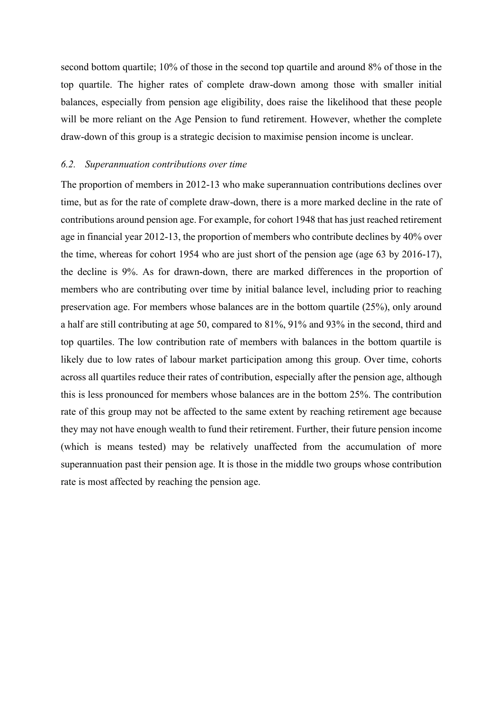second bottom quartile; 10% of those in the second top quartile and around 8% of those in the top quartile. The higher rates of complete draw-down among those with smaller initial balances, especially from pension age eligibility, does raise the likelihood that these people will be more reliant on the Age Pension to fund retirement. However, whether the complete draw-down of this group is a strategic decision to maximise pension income is unclear.

#### *6.2. Superannuation contributions over time*

The proportion of members in 2012-13 who make superannuation contributions declines over time, but as for the rate of complete draw-down, there is a more marked decline in the rate of contributions around pension age. For example, for cohort 1948 that has just reached retirement age in financial year 2012-13, the proportion of members who contribute declines by 40% over the time, whereas for cohort 1954 who are just short of the pension age (age 63 by 2016-17), the decline is 9%. As for drawn-down, there are marked differences in the proportion of members who are contributing over time by initial balance level, including prior to reaching preservation age. For members whose balances are in the bottom quartile (25%), only around a half are still contributing at age 50, compared to 81%, 91% and 93% in the second, third and top quartiles. The low contribution rate of members with balances in the bottom quartile is likely due to low rates of labour market participation among this group. Over time, cohorts across all quartiles reduce their rates of contribution, especially after the pension age, although this is less pronounced for members whose balances are in the bottom 25%. The contribution rate of this group may not be affected to the same extent by reaching retirement age because they may not have enough wealth to fund their retirement. Further, their future pension income (which is means tested) may be relatively unaffected from the accumulation of more superannuation past their pension age. It is those in the middle two groups whose contribution rate is most affected by reaching the pension age.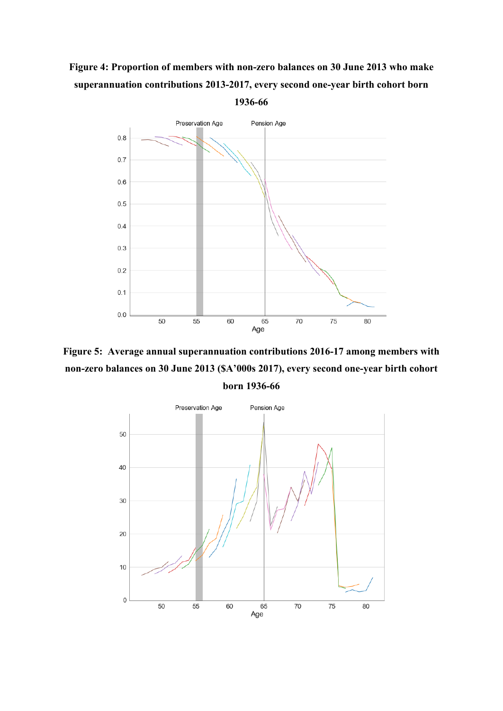## **Figure 4: Proportion of members with non-zero balances on 30 June 2013 who make superannuation contributions 2013-2017, every second one-year birth cohort born 1936-66**



**Figure 5: Average annual superannuation contributions 2016-17 among members with non-zero balances on 30 June 2013 (\$A'000s 2017), every second one-year birth cohort born 1936-66**

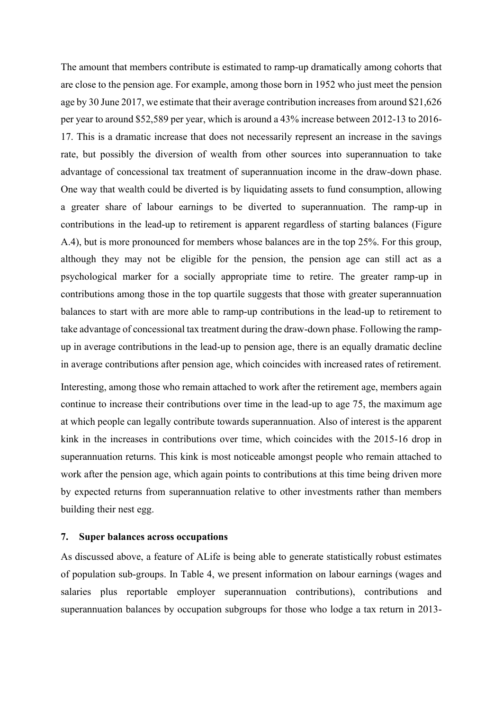The amount that members contribute is estimated to ramp-up dramatically among cohorts that are close to the pension age. For example, among those born in 1952 who just meet the pension age by 30 June 2017, we estimate that their average contribution increases from around \$21,626 per year to around \$52,589 per year, which is around a 43% increase between 2012-13 to 2016- 17. This is a dramatic increase that does not necessarily represent an increase in the savings rate, but possibly the diversion of wealth from other sources into superannuation to take advantage of concessional tax treatment of superannuation income in the draw-down phase. One way that wealth could be diverted is by liquidating assets to fund consumption, allowing a greater share of labour earnings to be diverted to superannuation. The ramp-up in contributions in the lead-up to retirement is apparent regardless of starting balances (Figure A.4), but is more pronounced for members whose balances are in the top 25%. For this group, although they may not be eligible for the pension, the pension age can still act as a psychological marker for a socially appropriate time to retire. The greater ramp-up in contributions among those in the top quartile suggests that those with greater superannuation balances to start with are more able to ramp-up contributions in the lead-up to retirement to take advantage of concessional tax treatment during the draw-down phase. Following the rampup in average contributions in the lead-up to pension age, there is an equally dramatic decline in average contributions after pension age, which coincides with increased rates of retirement.

Interesting, among those who remain attached to work after the retirement age, members again continue to increase their contributions over time in the lead-up to age 75, the maximum age at which people can legally contribute towards superannuation. Also of interest is the apparent kink in the increases in contributions over time, which coincides with the 2015-16 drop in superannuation returns. This kink is most noticeable amongst people who remain attached to work after the pension age, which again points to contributions at this time being driven more by expected returns from superannuation relative to other investments rather than members building their nest egg.

#### **7. Super balances across occupations**

As discussed above, a feature of ALife is being able to generate statistically robust estimates of population sub-groups. In Table 4, we present information on labour earnings (wages and salaries plus reportable employer superannuation contributions), contributions and superannuation balances by occupation subgroups for those who lodge a tax return in 2013-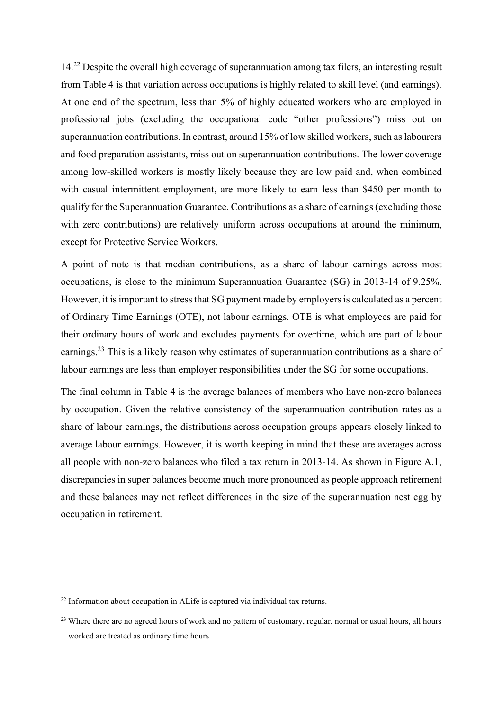14.<sup>22</sup> Despite the overall high coverage of superannuation among tax filers, an interesting result from Table 4 is that variation across occupations is highly related to skill level (and earnings). At one end of the spectrum, less than 5% of highly educated workers who are employed in professional jobs (excluding the occupational code "other professions") miss out on superannuation contributions. In contrast, around 15% of low skilled workers, such as labourers and food preparation assistants, miss out on superannuation contributions. The lower coverage among low-skilled workers is mostly likely because they are low paid and, when combined with casual intermittent employment, are more likely to earn less than \$450 per month to qualify for the Superannuation Guarantee. Contributions as a share of earnings (excluding those with zero contributions) are relatively uniform across occupations at around the minimum, except for Protective Service Workers.

A point of note is that median contributions, as a share of labour earnings across most occupations, is close to the minimum Superannuation Guarantee (SG) in 2013-14 of 9.25%. However, it is important to stress that SG payment made by employers is calculated as a percent of Ordinary Time Earnings (OTE), not labour earnings. OTE is what employees are paid for their ordinary hours of work and excludes payments for overtime, which are part of labour earnings.<sup>23</sup> This is a likely reason why estimates of superannuation contributions as a share of labour earnings are less than employer responsibilities under the SG for some occupations.

The final column in Table 4 is the average balances of members who have non-zero balances by occupation. Given the relative consistency of the superannuation contribution rates as a share of labour earnings, the distributions across occupation groups appears closely linked to average labour earnings. However, it is worth keeping in mind that these are averages across all people with non-zero balances who filed a tax return in 2013-14. As shown in Figure A.1, discrepancies in super balances become much more pronounced as people approach retirement and these balances may not reflect differences in the size of the superannuation nest egg by occupation in retirement.

<sup>&</sup>lt;sup>22</sup> Information about occupation in ALife is captured via individual tax returns.

<sup>&</sup>lt;sup>23</sup> Where there are no agreed hours of work and no pattern of customary, regular, normal or usual hours, all hours worked are treated as ordinary time hours.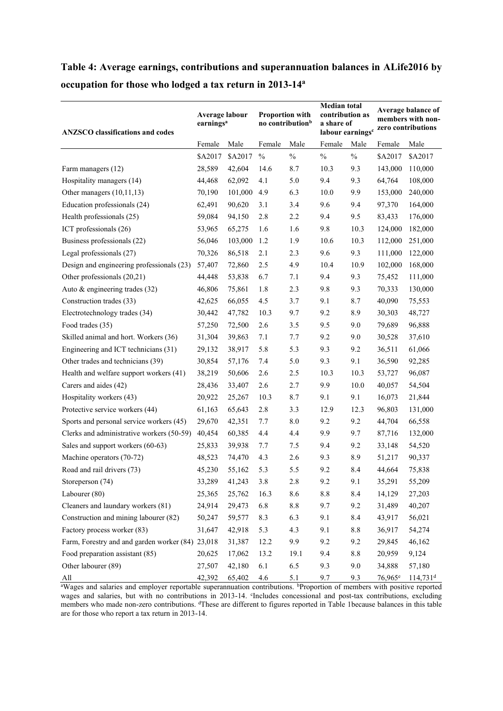## **Table 4: Average earnings, contributions and superannuation balances in ALife2016 by occupation for those who lodged a tax return in 2013-14<sup>a</sup>**

| <b>ANZSCO</b> classifications and codes          | Average labour<br>earnings <sup>a</sup> |         | <b>Proportion with</b><br>no contribution <sup>b</sup> |               | <b>Median total</b><br>contribution as<br>a share of<br>labour earnings <sup>c</sup> |               | Average balance of<br>members with non-<br>zero contributions |                        |
|--------------------------------------------------|-----------------------------------------|---------|--------------------------------------------------------|---------------|--------------------------------------------------------------------------------------|---------------|---------------------------------------------------------------|------------------------|
|                                                  | Female                                  | Male    | Female                                                 | Male          | Female                                                                               | Male          | Female                                                        | Male                   |
|                                                  | \$A2017                                 | \$A2017 | $\frac{0}{0}$                                          | $\frac{0}{0}$ | $\frac{0}{0}$                                                                        | $\frac{0}{0}$ | \$A2017                                                       | \$A2017                |
| Farm managers (12)                               | 28,589                                  | 42,604  | 14.6                                                   | 8.7           | 10.3                                                                                 | 9.3           | 143,000                                                       | 110,000                |
| Hospitality managers (14)                        | 44,468                                  | 62,092  | 4.1                                                    | 5.0           | 9.4                                                                                  | 9.3           | 64,764                                                        | 108,000                |
| Other managers (10,11,13)                        | 70,190                                  | 101,000 | 4.9                                                    | 6.3           | 10.0                                                                                 | 9.9           | 153,000                                                       | 240,000                |
| Education professionals (24)                     | 62,491                                  | 90,620  | 3.1                                                    | 3.4           | 9.6                                                                                  | 9.4           | 97,370                                                        | 164,000                |
| Health professionals (25)                        | 59,084                                  | 94,150  | 2.8                                                    | 2.2           | 9.4                                                                                  | 9.5           | 83,433                                                        | 176,000                |
| ICT professionals (26)                           | 53,965                                  | 65,275  | 1.6                                                    | 1.6           | 9.8                                                                                  | 10.3          | 124,000                                                       | 182,000                |
| Business professionals (22)                      | 56,046                                  | 103,000 | 1.2                                                    | 1.9           | 10.6                                                                                 | 10.3          | 112,000                                                       | 251,000                |
| Legal professionals (27)                         | 70,326                                  | 86,518  | 2.1                                                    | 2.3           | 9.6                                                                                  | 9.3           | 111,000                                                       | 122,000                |
| Design and engineering professionals (23)        | 57,407                                  | 72,860  | 2.5                                                    | 4.9           | 10.4                                                                                 | 10.9          | 102,000                                                       | 168,000                |
| Other professionals (20,21)                      | 44,448                                  | 53,838  | 6.7                                                    | 7.1           | 9.4                                                                                  | 9.3           | 75,452                                                        | 111,000                |
| Auto & engineering trades (32)                   | 46,806                                  | 75,861  | 1.8                                                    | 2.3           | 9.8                                                                                  | 9.3           | 70,333                                                        | 130,000                |
| Construction trades (33)                         | 42,625                                  | 66,055  | 4.5                                                    | 3.7           | 9.1                                                                                  | 8.7           | 40,090                                                        | 75,553                 |
| Electrotechnology trades (34)                    | 30,442                                  | 47,782  | 10.3                                                   | 9.7           | 9.2                                                                                  | 8.9           | 30,303                                                        | 48,727                 |
| Food trades (35)                                 | 57,250                                  | 72,500  | 2.6                                                    | 3.5           | 9.5                                                                                  | 9.0           | 79,689                                                        | 96,888                 |
| Skilled animal and hort. Workers (36)            | 31,304                                  | 39,863  | 7.1                                                    | 7.7           | 9.2                                                                                  | 9.0           | 30,528                                                        | 37,610                 |
| Engineering and ICT technicians (31)             | 29,132                                  | 38,917  | 5.8                                                    | 5.3           | 9.3                                                                                  | 9.2           | 36,511                                                        | 61,066                 |
| Other trades and technicians (39)                | 30,854                                  | 57,176  | 7.4                                                    | 5.0           | 9.3                                                                                  | 9.1           | 36,590                                                        | 92,285                 |
| Health and welfare support workers (41)          | 38,219                                  | 50,606  | 2.6                                                    | 2.5           | 10.3                                                                                 | 10.3          | 53,727                                                        | 96,087                 |
| Carers and aides (42)                            | 28,436                                  | 33,407  | 2.6                                                    | 2.7           | 9.9                                                                                  | 10.0          | 40,057                                                        | 54,504                 |
| Hospitality workers (43)                         | 20,922                                  | 25,267  | 10.3                                                   | 8.7           | 9.1                                                                                  | 9.1           | 16,073                                                        | 21,844                 |
| Protective service workers (44)                  | 61,163                                  | 65,643  | 2.8                                                    | 3.3           | 12.9                                                                                 | 12.3          | 96,803                                                        | 131,000                |
| Sports and personal service workers (45)         | 29,670                                  | 42,351  | 7.7                                                    | 8.0           | 9.2                                                                                  | 9.2           | 44,704                                                        | 66,558                 |
| Clerks and administrative workers (50-59)        | 40,454                                  | 60,385  | 4.4                                                    | 4.4           | 9.9                                                                                  | 9.7           | 87,716                                                        | 132,000                |
| Sales and support workers (60-63)                | 25,833                                  | 39,938  | 7.7                                                    | 7.5           | 9.4                                                                                  | 9.2           | 33,148                                                        | 54,520                 |
| Machine operators (70-72)                        | 48,523                                  | 74,470  | 4.3                                                    | 2.6           | 9.3                                                                                  | 8.9           | 51,217                                                        | 90,337                 |
| Road and rail drivers (73)                       | 45,230                                  | 55,162  | 5.3                                                    | 5.5           | 9.2                                                                                  | 8.4           | 44,664                                                        | 75,838                 |
| Storeperson (74)                                 | 33,289                                  | 41,243  | 3.8                                                    | 2.8           | 9.2                                                                                  | 9.1           | 35,291                                                        | 55,209                 |
| Labourer (80)                                    | 25,365                                  | 25,762  | 16.3                                                   | 8.6           | 8.8                                                                                  | 8.4           | 14,129                                                        | 27,203                 |
| Cleaners and laundary workers (81)               | 24,914                                  | 29,473  | 6.8                                                    | $8.8\,$       | 9.7                                                                                  | 9.2           | 31,489                                                        | 40,207                 |
| Construction and mining labourer (82)            | 50,247                                  | 59,577  | 8.3                                                    | 6.3           | 9.1                                                                                  | 8.4           | 43,917                                                        | 56,021                 |
| Factory process worker (83)                      | 31,647                                  | 42,918  | 5.3                                                    | 4.3           | 9.1                                                                                  | $8.8\,$       | 36,917                                                        | 54,274                 |
| Farm, Forestry and and garden worker (84) 23,018 |                                         | 31,387  | 12.2                                                   | 9.9           | 9.2                                                                                  | 9.2           | 29,845                                                        | 46,162                 |
| Food preparation assistant (85)                  | 20,625                                  | 17,062  | 13.2                                                   | 19.1          | 9.4                                                                                  | 8.8           | 20,959                                                        | 9,124                  |
| Other labourer (89)                              | 27,507                                  | 42,180  | 6.1                                                    | 6.5           | 9.3                                                                                  | 9.0           | 34,888                                                        | 57,180                 |
| All                                              | 42,392                                  | 65,402  | 4.6                                                    | 5.1           | 9.7                                                                                  | 9.3           | $76,965^e$                                                    | $114,731$ <sup>d</sup> |

<sup>a</sup>Wages and salaries and employer reportable superannuation contributions. <sup>b</sup>Proportion of members with positive reported wages and salaries, but with no contributions in 2013-14. 'Includes concessional and post-tax contributions, excluding members who made non-zero contributions. <sup>d</sup>These are different to figures reported in Table 1because balances in this table are for those who report a tax return in 2013-14.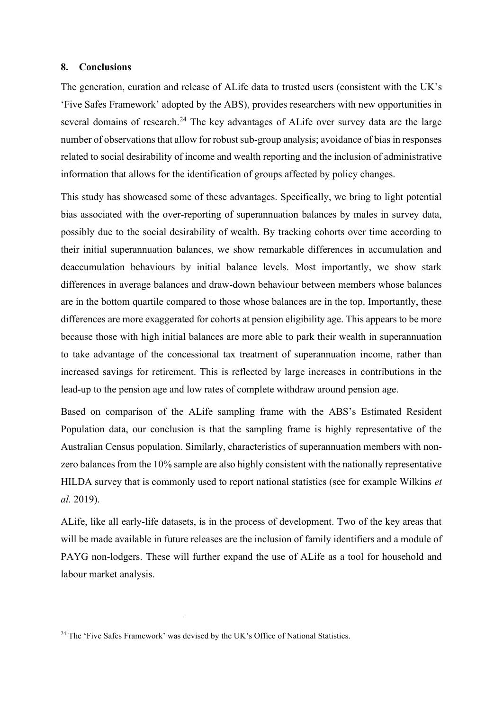#### **8. Conclusions**

The generation, curation and release of ALife data to trusted users (consistent with the UK's 'Five Safes Framework' adopted by the ABS), provides researchers with new opportunities in several domains of research.<sup>24</sup> The key advantages of ALife over survey data are the large number of observations that allow for robust sub-group analysis; avoidance of bias in responses related to social desirability of income and wealth reporting and the inclusion of administrative information that allows for the identification of groups affected by policy changes.

This study has showcased some of these advantages. Specifically, we bring to light potential bias associated with the over-reporting of superannuation balances by males in survey data, possibly due to the social desirability of wealth. By tracking cohorts over time according to their initial superannuation balances, we show remarkable differences in accumulation and deaccumulation behaviours by initial balance levels. Most importantly, we show stark differences in average balances and draw-down behaviour between members whose balances are in the bottom quartile compared to those whose balances are in the top. Importantly, these differences are more exaggerated for cohorts at pension eligibility age. This appears to be more because those with high initial balances are more able to park their wealth in superannuation to take advantage of the concessional tax treatment of superannuation income, rather than increased savings for retirement. This is reflected by large increases in contributions in the lead-up to the pension age and low rates of complete withdraw around pension age.

Based on comparison of the ALife sampling frame with the ABS's Estimated Resident Population data, our conclusion is that the sampling frame is highly representative of the Australian Census population. Similarly, characteristics of superannuation members with nonzero balances from the 10% sample are also highly consistent with the nationally representative HILDA survey that is commonly used to report national statistics (see for example Wilkins *et al.* 2019).

ALife, like all early-life datasets, is in the process of development. Two of the key areas that will be made available in future releases are the inclusion of family identifiers and a module of PAYG non-lodgers. These will further expand the use of ALife as a tool for household and labour market analysis.

<sup>&</sup>lt;sup>24</sup> The 'Five Safes Framework' was devised by the UK's Office of National Statistics.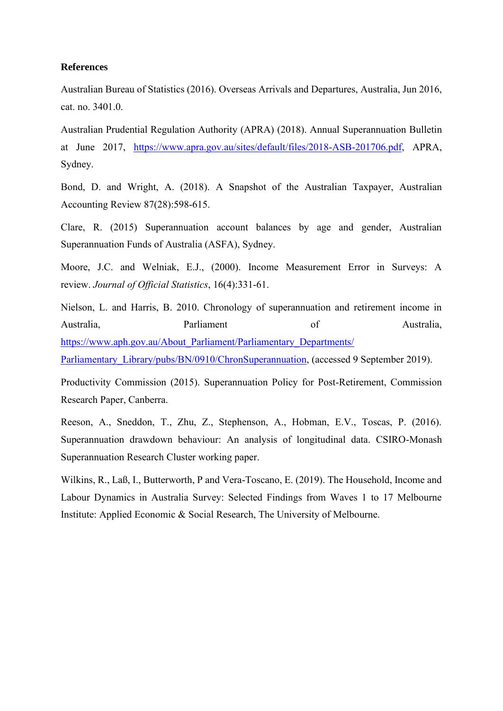#### **References**

Australian Bureau of Statistics (2016). Overseas Arrivals and Departures, Australia, Jun 2016, cat. no. 3401.0.

Australian Prudential Regulation Authority (APRA) (2018). Annual Superannuation Bulletin at June 2017, [https://www.apra.gov.au/sites/default/files/2018-ASB-201706.pdf,](https://www.apra.gov.au/sites/default/files/2018-ASB-201706.pdf) APRA, Sydney.

Bond, D. and Wright, A. (2018). A Snapshot of the Australian Taxpayer, Australian Accounting Review 87(28):598-615.

Clare, R. (2015) Superannuation account balances by age and gender, Australian Superannuation Funds of Australia (ASFA), Sydney.

Moore, J.C. and Welniak, E.J., (2000). Income Measurement Error in Surveys: A review. *Journal of Official Statistics*, 16(4):331-61.

Nielson, L. and Harris, B. 2010. Chronology of superannuation and retirement income in Australia, Parliament of Australia, [https://www.aph.gov.au/About\\_Parliament/Parliamentary\\_Departments/](https://www.aph.gov.au/About_Parliament/Parliamentary_Departments/Parliamentary_Library/pubs/BN/0910/ChronSuperannuation) [Parliamentary\\_Library/pubs/BN/0910/ChronSuperannuation,](https://www.aph.gov.au/About_Parliament/Parliamentary_Departments/Parliamentary_Library/pubs/BN/0910/ChronSuperannuation) (accessed 9 September 2019).

Productivity Commission (2015). Superannuation Policy for Post-Retirement, Commission Research Paper, Canberra.

Reeson, A., Sneddon, T., Zhu, Z., Stephenson, A., Hobman, E.V., Toscas, P. (2016). Superannuation drawdown behaviour: An analysis of longitudinal data. CSIRO-Monash Superannuation Research Cluster working paper.

Wilkins, R., Laß, I., Butterworth, P and Vera-Toscano, E. (2019). The Household, Income and Labour Dynamics in Australia Survey: Selected Findings from Waves 1 to 17 Melbourne Institute: Applied Economic & Social Research, The University of Melbourne.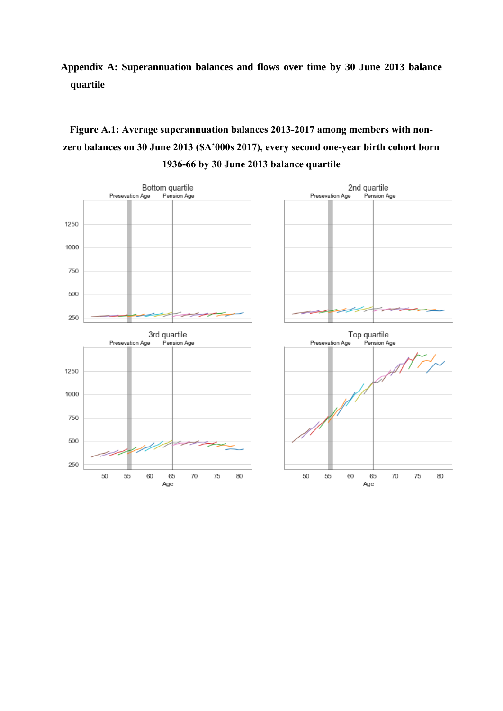**Appendix A: Superannuation balances and flows over time by 30 June 2013 balance quartile**

## **Figure A.1: Average superannuation balances 2013-2017 among members with nonzero balances on 30 June 2013 (\$A'000s 2017), every second one-year birth cohort born 1936-66 by 30 June 2013 balance quartile**

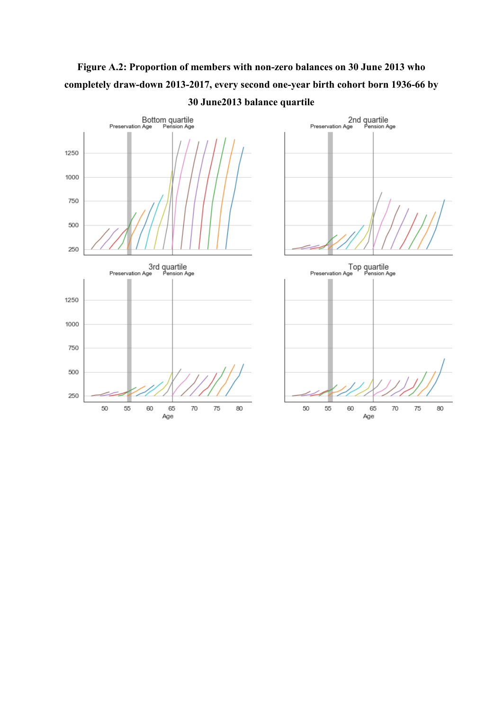## **Figure A.2: Proportion of members with non-zero balances on 30 June 2013 who completely draw-down 2013-2017, every second one-year birth cohort born 1936-66 by 30 June2013 balance quartile**

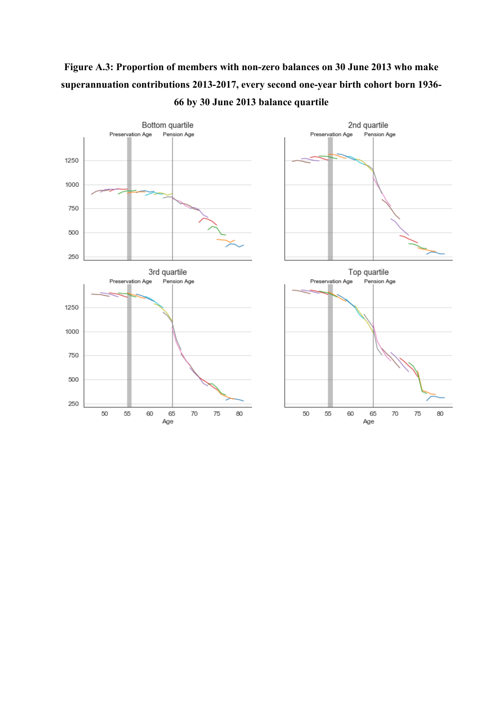## **Figure A.3: Proportion of members with non-zero balances on 30 June 2013 who make superannuation contributions 2013-2017, every second one-year birth cohort born 1936- 66 by 30 June 2013 balance quartile**